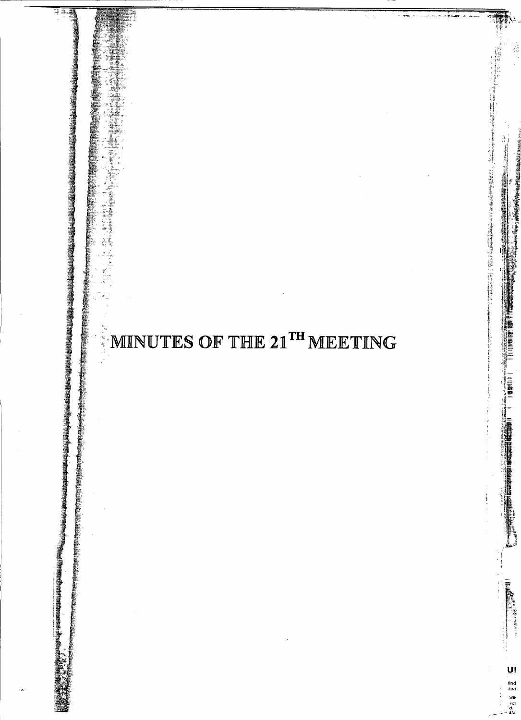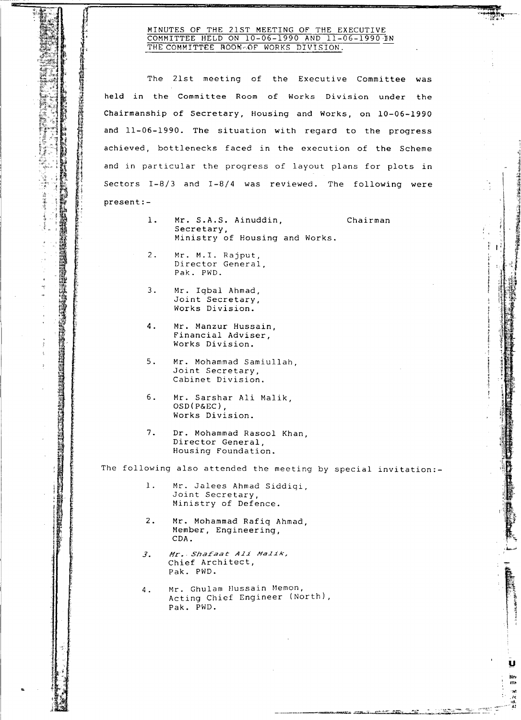## MINUTES Of THE 21ST MEETING Of THE EXECUTIVE COMMITTEE HELD ON 10-06-1990 AND 11-06-1990 I THE COMMITTEE ROOM-OF WORKS DIVISION.

The 21st meeting of the Executive Committee was held in the Committee Room of Works Division under the present: and in particular the progress of layout plans for plots in Chairmanship of Secretary, Housing and Works, on 10-06-1990 and 11-06-1990. The situation with regard to the progress achieved, bottlenecks faced in the execution of the Scheme Sectors 1-8/3 and 1-8/4 was reviewed. The following were I..~.: <sup>I</sup>

- 1. Mr. S.A.S. Ainuddin, Chairman Secretary, Ministry of Housing and Works.
- 2. Mr. M.I. Rajput, Director General, Pak. PWD.
- 3. Mr. Iqbal Ahmad, Joint Secretary, Works Division.

h

~-

tt;r l  $\label{eq:3.1} \begin{array}{ll} \displaystyle \frac{1}{2} \left( \frac{1}{2} \frac{1}{2} \frac{1}{2} \frac{1}{2} \frac{1}{2} \frac{1}{2} \frac{1}{2} \frac{1}{2} \frac{1}{2} \frac{1}{2} \frac{1}{2} \frac{1}{2} \frac{1}{2} \frac{1}{2} \frac{1}{2} \frac{1}{2} \frac{1}{2} \frac{1}{2} \frac{1}{2} \frac{1}{2} \frac{1}{2} \frac{1}{2} \frac{1}{2} \frac{1}{2} \frac{1}{2} \frac{1}{2} \frac{1}{2} \frac$ ti ~ in the property of ~

.ci" I;

t : 1

**REAL** 

"I **if the community of the community of the community of the community of the community of the community of the community of the community of the community of the community of the community of the community of the community** 

for the contract of the contract of the contract of the contract of the contract of the contract of the contract of the contract of the contract of the contract of the contract of the contract of the contract of the contra

- 4. Mr. Manzur Hussain, financial Adviser, Works Division.
- 5. Mr. Mohammad Samiullah, Joint Secretary, Cabinet Division.
- 6. Mr. Sarshar Ali Malik, OSD (P&EC) , Works Division.
- 7. Dr. Mohammad Rasool Khan, Director General, Housing Foundation.

The following also attended the meeting by special invitation:-

.<br>അവസംബാരിക്കുന്നു

์<br>-<br>-<br>ค

.<br>Mh<br>Mh

 $7.74$ 

- Mr. Jalees Ahmad Siddiqi, Joint Secretary, Ministry of Defence. 1.
- Mr. Mohammad Rafiq Ahmad, Member, Engineering, CDA. 2.
- $Mr.$  *Shafaat Ali Malik,* Chief Architect, Pak. PWD. 3.
- Mr. Ghulam Hussain Memon, Acting Chief Engineer (North), Pak. PWD. 4.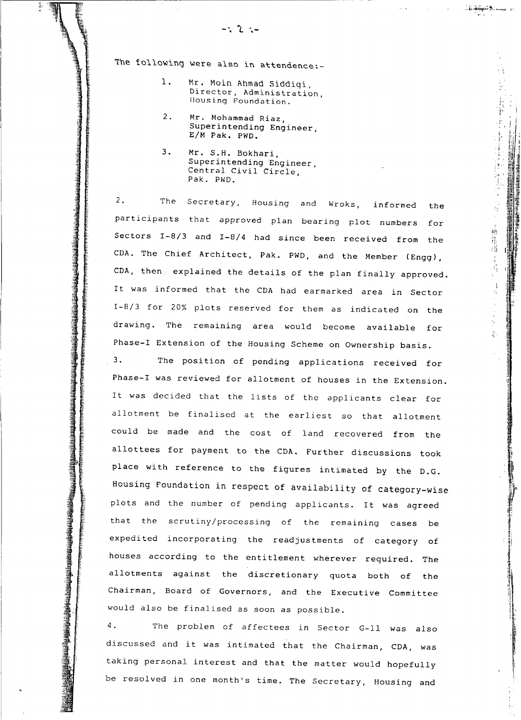The following were also in attendence:-

- 1. Mr. Moin Ahmad Siddigi, Director, Administration, Ilousing Foundation.
- 2. Mr. Mohammad Riaz, Superintending Engineer, *ElM* Pak. PWD.
- 3. Mr. S.H. Bokhari, Superintending Engineer, Central Civil Circle, Pak. PWD.

" 医大型医院医医学医生医院 医阴道

不同的 医中间神经 医中间性神经病 医血管

Section Section Section Section Section Section Section Section Section Section Section Section Section Section<br>Section Section Section Section Section Section Section Section Section Section Section Section Section Secti

Sectors 1-8/3 and 1-8/4 had since been received from the participants that approved plan bearing plot numbers for CDA. The Chief Architect, Pak. PWD, and the Member (Engg), 2. The Secretary, Housing and Wroks, informed the CDA, then. explained the details of the plan finally approved. It was informed that the CDA had earmarked area in Sector 1-8/3 for 20% plots reserved for them as indicated on the drawing. The remaining area would become available for Phase-I Extension of the Housing Scheme on Ownership basis.

"t .•.

态

一种生活

;; .: t i

Chairman, Board of Governors, and the Executive Committee would also be finalised as soon as possible. 3. The position of pending applications received for allottees for payment to the CDA. Further discussions took allotment be finalised at the earliest so that allotment plots and the number of pending applicants. It was agreed Housing Foundation in respect of availability of category-wise place with reference to the figures intimated by the D.G. could be made and the cost of land recovered from the Phase-I was reviewed for allotment of houses in the Extension. It was decided that the lists of the applicants clear for that the scrutiny/processing of the remaining cases be expedited incorporating the readjustments of category of houses according to the entitlement wherever required. The allotments against the discretionary quota both of the

4. The problem of affectees in Sector G-Il was also discussed and it was intimated that the Chairman, CDA, was taking personal interest and that the matter would hopefully be resolved in one month's time. The Secretary, Housing and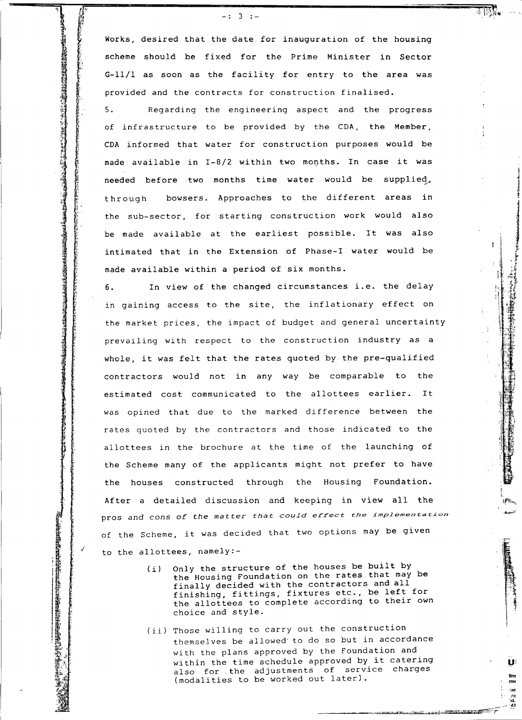provided and the contracts for construction finalised. G-11/1 as soon as the facility for entry to the area was -: 3 :-<br>Works, desired that the date for inauguration of the housing scheme should be fixed for the Prime Minister in Sector

 $\mathcal{H}^*$  : and the set of  $\mathcal{H}^*$  :  $\mathcal{H}^*$  , and the set of  $\mathcal{H}^*$  , and the set of  $\mathcal{H}^*$  , and the set of  $\mathcal{H}^*$  , and the set of  $\mathcal{H}^*$  , and the set of  $\mathcal{H}^*$  , and the set of  $\mathcal{H}^*$  ,

---===.;n~~i'".*-'Jft";=~*=--..... -------------------- ioIiiiiiiiiiiiiiiiiiiii;;;;;;;;;=;;;;;;;;;=;:;:;;;'i>~

r<br>Francisco<br>Francisco

;. <sup>f</sup>' ~;i ti in de la provincia de la provincia de la provincia de la provincia de la provincia de la provincia de la pr<br>La provincia de la provincia de la provincia de la provincia de la provincia de la provincia de la provincia d<br> ~i

~I

:1 ; i ang pagkalang ng pagkalang ng pagkalang ng pagkalang ng pagkalang ng pagkalang ng pagkalang ng pagkalang ng <br>Pagkalang ng pagkalang ng pagkalang ng pagkalang ng pagkalang ng pagkalang ng pagkalang ng pagkalang ng pagkal

bowsers. Approaches to the different areas in Regarding the engineering aspect and the progress 5. made available in *1-8/2* within two months. In case it was the sub-sector, for starting construction work would also be made available at the earliest possible. It was also intimated that in the Extension of Phase-I water would be needed before two months time water would be supplied, of infrastructure to be provided by the CDA, the Member. through CDA informed that water for construction purposes would be made available within a period of six months. The Second Second Second Second Second Second Second Second Second Second Second Second Second Second Second S<br>
The Second Second Second Second Second Second Second Second Second Second Second Second Second Second Second

> In view of the changed circumstances i.e. the delay 6. prevailing with respect to the construction industry as a the market prices, the impact of budget and general uncertainty in gaining access to the site, the inflationary effect on whole, it was felt that the rates quoted by the pre-qualified the Scheme many of the applicants might not prefer to have allottees in the brochure at the time of the launching of estimated cost communicated to the allottees earlier. It contractors would not in any way be comparable to the was opined that due to the marked difference between the rates quoted by the contractors and those indicated to the After a detailed discussion and keeping in view all the the houses constructed through the Housing Foundation. to the allottees, namely: pros and cons of the matter *that could effect the implementation* of the Scheme, it was decided that two options may be given

- Only the structure of the houses be built by the Housing Foundation on the rates that may be finally decided with the contractors and all finishing, fittings, fixtures etc., be left for the allottees to complete according to their own choice and style. (i)
- (ii) Those willing to carry out the construction themselves be allowed to do so but in accordance with the plans approved by the Foundation and within the time schedule approved by it catering also for the adjustments of service charges (modalities to be worked out later).

U

*,-¥:<-';t"* +,-.,,;rt=',- ~5k".'-\_";;.~:?r

lin. mN 'WI i'<l -Id. **\_\_ -43**

I 1'.  $\int \frac{dx}{dx}$ *. ~i*

i j~ .f '\